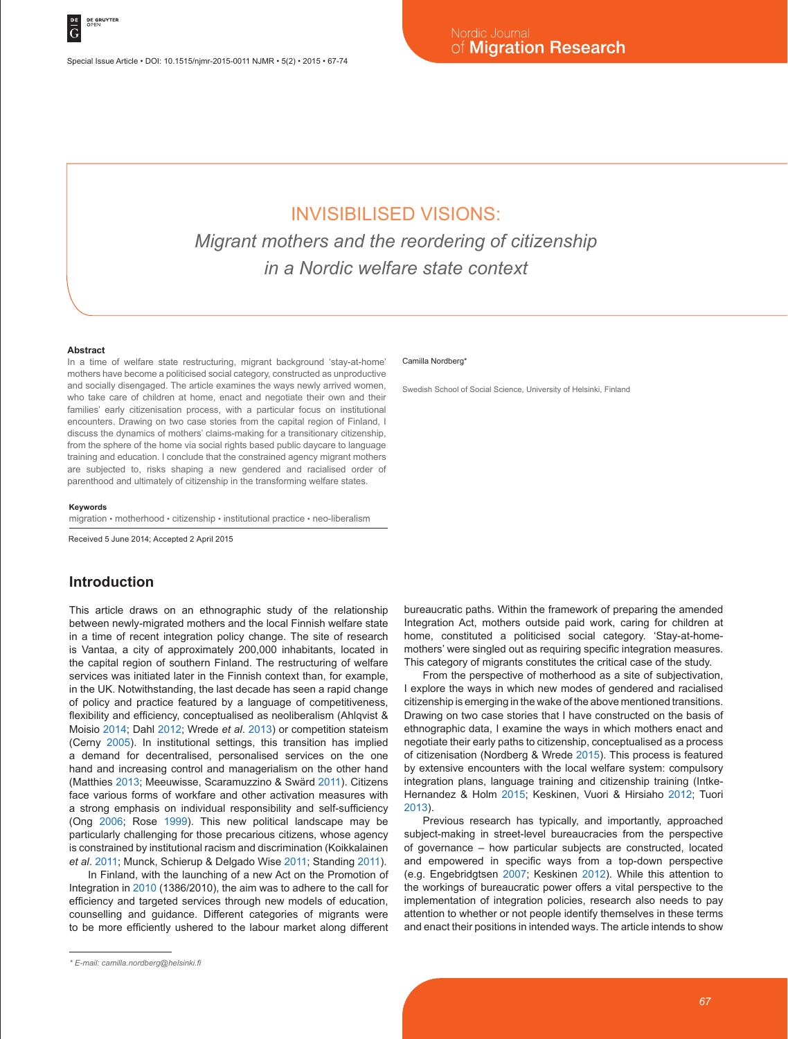Special Issue Article • DOI: 10.1515/njmr-2015-0011 NJMR • 5(2) • 2015 • 67-74

# INVISIBILISED VISIONS:

*Migrant mothers and the reordering of citizenship in a Nordic welfare state context*

#### **Abstract**

In a time of welfare state restructuring, migrant background 'stay-at-home' mothers have become a politicised social category, constructed as unproductive and socially disengaged. The article examines the ways newly arrived women, who take care of children at home, enact and negotiate their own and their families' early citizenisation process, with a particular focus on institutional encounters. Drawing on two case stories from the capital region of Finland, I discuss the dynamics of mothers' claims-making for a transitionary citizenship, from the sphere of the home via social rights based public daycare to language training and education. I conclude that the constrained agency migrant mothers are subjected to, risks shaping a new gendered and racialised order of parenthood and ultimately of citizenship in the transforming welfare states.

#### **Keywords**

migration • motherhood • citizenship • institutional practice • neo-liberalism

Received 5 June 2014; Accepted 2 April 2015

#### **Introduction**

This article draws on an ethnographic study of the relationship between newly-migrated mothers and the local Finnish welfare state in a time of recent integration policy change. The site of research is Vantaa, a city of approximately 200,000 inhabitants, located in the capital region of southern Finland. The restructuring of welfare services was initiated later in the Finnish context than, for example, in the UK. Notwithstanding, the last decade has seen a rapid change of policy and practice featured by a language of competitiveness, flexibility and efficiency, conceptualised as neoliberalism (Ahlqvist & Moisio 2014; Dahl 2012; Wrede *et al*. 2013) or competition stateism (Cerny 2005). In institutional settings, this transition has implied a demand for decentralised, personalised services on the one hand and increasing control and managerialism on the other hand (Matthies 2013; Meeuwisse, Scaramuzzino & Swärd 2011). Citizens face various forms of workfare and other activation measures with a strong emphasis on individual responsibility and self-sufficiency (Ong 2006; Rose 1999). This new political landscape may be particularly challenging for those precarious citizens, whose agency is constrained by institutional racism and discrimination (Koikkalainen *et al*. 2011; Munck, Schierup & Delgado Wise 2011; Standing 2011).

In Finland, with the launching of a new Act on the Promotion of Integration in 2010 (1386/2010), the aim was to adhere to the call for efficiency and targeted services through new models of education, counselling and guidance. Different categories of migrants were to be more efficiently ushered to the labour market along different

#### Camilla Nordberg\*

Swedish School of Social Science, University of Helsinki, Finland

bureaucratic paths. Within the framework of preparing the amended Integration Act, mothers outside paid work, caring for children at home, constituted a politicised social category. 'Stay-at-homemothers' were singled out as requiring specific integration measures. This category of migrants constitutes the critical case of the study.

From the perspective of motherhood as a site of subjectivation, I explore the ways in which new modes of gendered and racialised citizenship is emerging in the wake of the above mentioned transitions. Drawing on two case stories that I have constructed on the basis of ethnographic data, I examine the ways in which mothers enact and negotiate their early paths to citizenship, conceptualised as a process of citizenisation (Nordberg & Wrede 2015). This process is featured by extensive encounters with the local welfare system: compulsory integration plans, language training and citizenship training (Intke-Hernandez & Holm 2015; Keskinen, Vuori & Hirsiaho 2012; Tuori 2013).

Previous research has typically, and importantly, approached subject-making in street-level bureaucracies from the perspective of governance – how particular subjects are constructed, located and empowered in specific ways from a top-down perspective (e.g. Engebridgtsen 2007; Keskinen 2012). While this attention to the workings of bureaucratic power offers a vital perspective to the implementation of integration policies, research also needs to pay attention to whether or not people identify themselves in these terms and enact their positions in intended ways. The article intends to show

*<sup>\*</sup> E-mail: camilla.nordberg@helsinki.fi*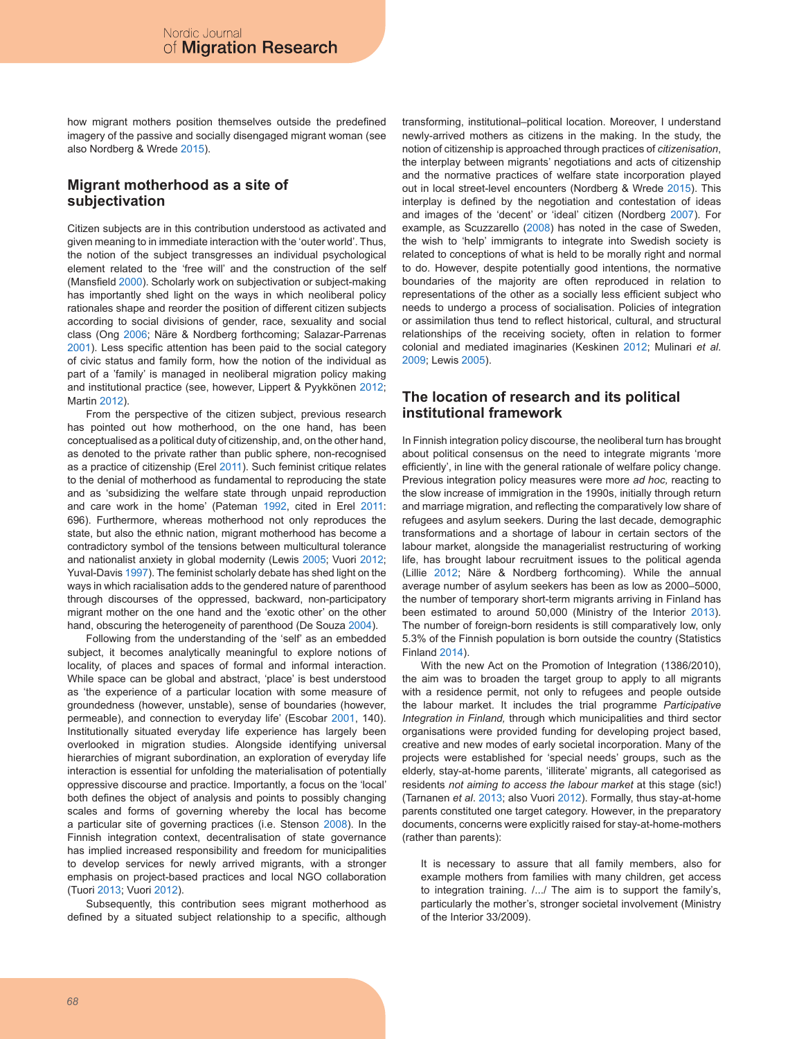how migrant mothers position themselves outside the predefined imagery of the passive and socially disengaged migrant woman (see also Nordberg & Wrede 2015).

## **Migrant motherhood as a site of subjectivation**

Citizen subjects are in this contribution understood as activated and given meaning to in immediate interaction with the 'outer world'. Thus, the notion of the subject transgresses an individual psychological element related to the 'free will' and the construction of the self (Mansfield 2000). Scholarly work on subjectivation or subject-making has importantly shed light on the ways in which neoliberal policy rationales shape and reorder the position of different citizen subjects according to social divisions of gender, race, sexuality and social class (Ong 2006; Näre & Nordberg forthcoming; Salazar-Parrenas 2001). Less specific attention has been paid to the social category of civic status and family form, how the notion of the individual as part of a 'family' is managed in neoliberal migration policy making and institutional practice (see, however, Lippert & Pyykkönen 2012; Martin 2012).

From the perspective of the citizen subject, previous research has pointed out how motherhood, on the one hand, has been conceptualised as a political duty of citizenship, and, on the other hand, as denoted to the private rather than public sphere, non-recognised as a practice of citizenship (Erel 2011). Such feminist critique relates to the denial of motherhood as fundamental to reproducing the state and as 'subsidizing the welfare state through unpaid reproduction and care work in the home' (Pateman 1992, cited in Erel 2011: 696). Furthermore, whereas motherhood not only reproduces the state, but also the ethnic nation, migrant motherhood has become a contradictory symbol of the tensions between multicultural tolerance and nationalist anxiety in global modernity (Lewis 2005; Vuori 2012; Yuval-Davis 1997). The feminist scholarly debate has shed light on the ways in which racialisation adds to the gendered nature of parenthood through discourses of the oppressed, backward, non-participatory migrant mother on the one hand and the 'exotic other' on the other hand, obscuring the heterogeneity of parenthood (De Souza 2004).

Following from the understanding of the 'self' as an embedded subject, it becomes analytically meaningful to explore notions of locality, of places and spaces of formal and informal interaction. While space can be global and abstract, 'place' is best understood as 'the experience of a particular location with some measure of groundedness (however, unstable), sense of boundaries (however, permeable), and connection to everyday life' (Escobar 2001, 140). Institutionally situated everyday life experience has largely been overlooked in migration studies. Alongside identifying universal hierarchies of migrant subordination, an exploration of everyday life interaction is essential for unfolding the materialisation of potentially oppressive discourse and practice. Importantly, a focus on the 'local' both defines the object of analysis and points to possibly changing scales and forms of governing whereby the local has become a particular site of governing practices (i.e. Stenson 2008). In the Finnish integration context, decentralisation of state governance has implied increased responsibility and freedom for municipalities to develop services for newly arrived migrants, with a stronger emphasis on project-based practices and local NGO collaboration (Tuori 2013; Vuori 2012).

Subsequently, this contribution sees migrant motherhood as defined by a situated subject relationship to a specific, although transforming, institutional–political location. Moreover, I understand newly-arrived mothers as citizens in the making. In the study, the notion of citizenship is approached through practices of *citizenisation*, the interplay between migrants' negotiations and acts of citizenship and the normative practices of welfare state incorporation played out in local street-level encounters (Nordberg & Wrede 2015). This interplay is defined by the negotiation and contestation of ideas and images of the 'decent' or 'ideal' citizen (Nordberg 2007). For example, as Scuzzarello (2008) has noted in the case of Sweden, the wish to 'help' immigrants to integrate into Swedish society is related to conceptions of what is held to be morally right and normal to do. However, despite potentially good intentions, the normative boundaries of the majority are often reproduced in relation to representations of the other as a socially less efficient subject who needs to undergo a process of socialisation. Policies of integration or assimilation thus tend to reflect historical, cultural, and structural relationships of the receiving society, often in relation to former colonial and mediated imaginaries (Keskinen 2012; Mulinari *et al*. 2009; Lewis 2005).

## **The location of research and its political institutional framework**

In Finnish integration policy discourse, the neoliberal turn has brought about political consensus on the need to integrate migrants 'more efficiently', in line with the general rationale of welfare policy change. Previous integration policy measures were more *ad hoc,* reacting to the slow increase of immigration in the 1990s, initially through return and marriage migration, and reflecting the comparatively low share of refugees and asylum seekers. During the last decade, demographic transformations and a shortage of labour in certain sectors of the labour market, alongside the managerialist restructuring of working life, has brought labour recruitment issues to the political agenda (Lillie 2012; Näre & Nordberg forthcoming). While the annual average number of asylum seekers has been as low as 2000–5000, the number of temporary short-term migrants arriving in Finland has been estimated to around 50,000 (Ministry of the Interior 2013). The number of foreign-born residents is still comparatively low, only 5.3% of the Finnish population is born outside the country (Statistics Finland 2014).

With the new Act on the Promotion of Integration (1386/2010), the aim was to broaden the target group to apply to all migrants with a residence permit, not only to refugees and people outside the labour market. It includes the trial programme *Participative Integration in Finland,* through which municipalities and third sector organisations were provided funding for developing project based, creative and new modes of early societal incorporation. Many of the projects were established for 'special needs' groups, such as the elderly, stay-at-home parents, 'illiterate' migrants, all categorised as residents *not aiming to access the labour market* at this stage (sic!) (Tarnanen *et al*. 2013; also Vuori 2012). Formally, thus stay-at-home parents constituted one target category. However, in the preparatory documents, concerns were explicitly raised for stay-at-home-mothers (rather than parents):

It is necessary to assure that all family members, also for example mothers from families with many children, get access to integration training. /.../ The aim is to support the family's, particularly the mother's, stronger societal involvement (Ministry of the Interior 33/2009).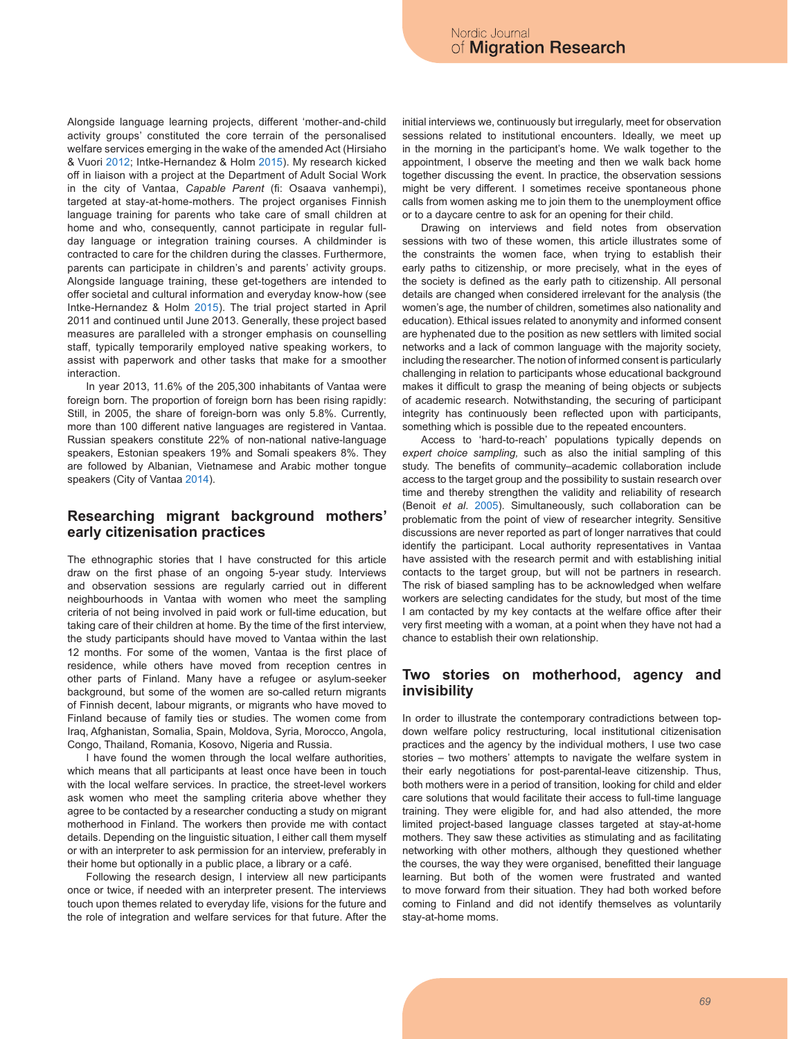Alongside language learning projects, different 'mother-and-child activity groups' constituted the core terrain of the personalised welfare services emerging in the wake of the amended Act (Hirsiaho & Vuori 2012; Intke-Hernandez & Holm 2015). My research kicked off in liaison with a project at the Department of Adult Social Work in the city of Vantaa, *Capable Parent* (fi: Osaava vanhempi), targeted at stay-at-home-mothers. The project organises Finnish language training for parents who take care of small children at home and who, consequently, cannot participate in regular fullday language or integration training courses. A childminder is contracted to care for the children during the classes. Furthermore, parents can participate in children's and parents' activity groups. Alongside language training, these get-togethers are intended to offer societal and cultural information and everyday know-how (see Intke-Hernandez & Holm 2015). The trial project started in April 2011 and continued until June 2013. Generally, these project based measures are paralleled with a stronger emphasis on counselling staff, typically temporarily employed native speaking workers, to assist with paperwork and other tasks that make for a smoother interaction.

In year 2013, 11.6% of the 205,300 inhabitants of Vantaa were foreign born. The proportion of foreign born has been rising rapidly: Still, in 2005, the share of foreign-born was only 5.8%. Currently, more than 100 different native languages are registered in Vantaa. Russian speakers constitute 22% of non-national native-language speakers, Estonian speakers 19% and Somali speakers 8%. They are followed by Albanian, Vietnamese and Arabic mother tongue speakers (City of Vantaa 2014).

#### **Researching migrant background mothers' early citizenisation practices**

The ethnographic stories that I have constructed for this article draw on the first phase of an ongoing 5-year study. Interviews and observation sessions are regularly carried out in different neighbourhoods in Vantaa with women who meet the sampling criteria of not being involved in paid work or full-time education, but taking care of their children at home. By the time of the first interview, the study participants should have moved to Vantaa within the last 12 months. For some of the women, Vantaa is the first place of residence, while others have moved from reception centres in other parts of Finland. Many have a refugee or asylum-seeker background, but some of the women are so-called return migrants of Finnish decent, labour migrants, or migrants who have moved to Finland because of family ties or studies. The women come from Iraq, Afghanistan, Somalia, Spain, Moldova, Syria, Morocco, Angola, Congo, Thailand, Romania, Kosovo, Nigeria and Russia.

I have found the women through the local welfare authorities, which means that all participants at least once have been in touch with the local welfare services. In practice, the street-level workers ask women who meet the sampling criteria above whether they agree to be contacted by a researcher conducting a study on migrant motherhood in Finland. The workers then provide me with contact details. Depending on the linguistic situation, I either call them myself or with an interpreter to ask permission for an interview, preferably in their home but optionally in a public place, a library or a café.

Following the research design, I interview all new participants once or twice, if needed with an interpreter present. The interviews touch upon themes related to everyday life, visions for the future and the role of integration and welfare services for that future. After the initial interviews we, continuously but irregularly, meet for observation sessions related to institutional encounters. Ideally, we meet up in the morning in the participant's home. We walk together to the appointment, I observe the meeting and then we walk back home together discussing the event. In practice, the observation sessions might be very different. I sometimes receive spontaneous phone calls from women asking me to join them to the unemployment office or to a daycare centre to ask for an opening for their child.

Drawing on interviews and field notes from observation sessions with two of these women, this article illustrates some of the constraints the women face, when trying to establish their early paths to citizenship, or more precisely, what in the eyes of the society is defined as the early path to citizenship. All personal details are changed when considered irrelevant for the analysis (the women's age, the number of children, sometimes also nationality and education). Ethical issues related to anonymity and informed consent are hyphenated due to the position as new settlers with limited social networks and a lack of common language with the majority society, including the researcher. The notion of informed consent is particularly challenging in relation to participants whose educational background makes it difficult to grasp the meaning of being objects or subjects of academic research. Notwithstanding, the securing of participant integrity has continuously been reflected upon with participants, something which is possible due to the repeated encounters.

Access to 'hard-to-reach' populations typically depends on *expert choice sampling,* such as also the initial sampling of this study. The benefits of community–academic collaboration include access to the target group and the possibility to sustain research over time and thereby strengthen the validity and reliability of research (Benoit *et al*. 2005). Simultaneously, such collaboration can be problematic from the point of view of researcher integrity. Sensitive discussions are never reported as part of longer narratives that could identify the participant. Local authority representatives in Vantaa have assisted with the research permit and with establishing initial contacts to the target group, but will not be partners in research. The risk of biased sampling has to be acknowledged when welfare workers are selecting candidates for the study, but most of the time I am contacted by my key contacts at the welfare office after their very first meeting with a woman, at a point when they have not had a chance to establish their own relationship.

#### **Two stories on motherhood, agency and invisibility**

In order to illustrate the contemporary contradictions between topdown welfare policy restructuring, local institutional citizenisation practices and the agency by the individual mothers, I use two case stories – two mothers' attempts to navigate the welfare system in their early negotiations for post-parental-leave citizenship. Thus, both mothers were in a period of transition, looking for child and elder care solutions that would facilitate their access to full-time language training. They were eligible for, and had also attended, the more limited project-based language classes targeted at stay-at-home mothers. They saw these activities as stimulating and as facilitating networking with other mothers, although they questioned whether the courses, the way they were organised, benefitted their language learning. But both of the women were frustrated and wanted to move forward from their situation. They had both worked before coming to Finland and did not identify themselves as voluntarily stay-at-home moms.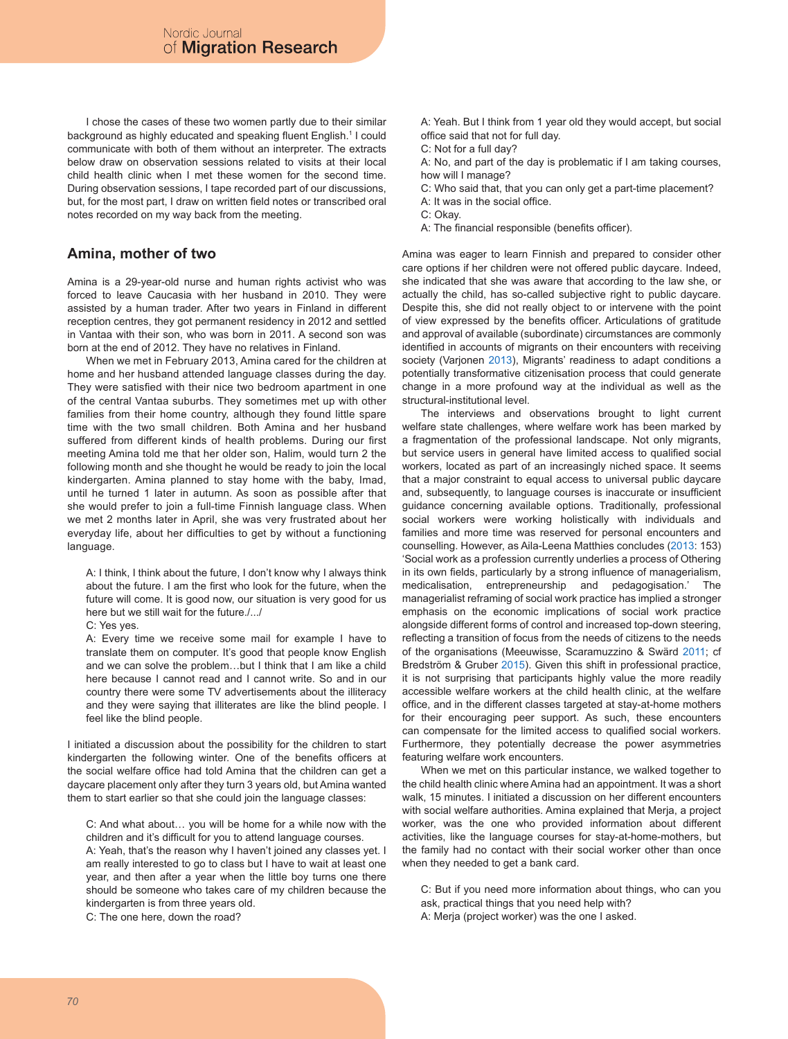I chose the cases of these two women partly due to their similar background as highly educated and speaking fluent English.<sup>1</sup> I could communicate with both of them without an interpreter. The extracts below draw on observation sessions related to visits at their local child health clinic when I met these women for the second time. During observation sessions, I tape recorded part of our discussions, but, for the most part, I draw on written field notes or transcribed oral notes recorded on my way back from the meeting.

## **Amina, mother of two**

Amina is a 29-year-old nurse and human rights activist who was forced to leave Caucasia with her husband in 2010. They were assisted by a human trader. After two years in Finland in different reception centres, they got permanent residency in 2012 and settled in Vantaa with their son, who was born in 2011. A second son was born at the end of 2012. They have no relatives in Finland.

When we met in February 2013, Amina cared for the children at home and her husband attended language classes during the day. They were satisfied with their nice two bedroom apartment in one of the central Vantaa suburbs. They sometimes met up with other families from their home country, although they found little spare time with the two small children. Both Amina and her husband suffered from different kinds of health problems. During our first meeting Amina told me that her older son, Halim, would turn 2 the following month and she thought he would be ready to join the local kindergarten. Amina planned to stay home with the baby, Imad, until he turned 1 later in autumn. As soon as possible after that she would prefer to join a full-time Finnish language class. When we met 2 months later in April, she was very frustrated about her everyday life, about her difficulties to get by without a functioning language.

A: I think, I think about the future, I don't know why I always think about the future. I am the first who look for the future, when the future will come. It is good now, our situation is very good for us here but we still wait for the future./.../

C: Yes yes.

A: Every time we receive some mail for example I have to translate them on computer. It's good that people know English and we can solve the problem…but I think that I am like a child here because I cannot read and I cannot write. So and in our country there were some TV advertisements about the illiteracy and they were saying that illiterates are like the blind people. I feel like the blind people.

I initiated a discussion about the possibility for the children to start kindergarten the following winter. One of the benefits officers at the social welfare office had told Amina that the children can get a daycare placement only after they turn 3 years old, but Amina wanted them to start earlier so that she could join the language classes:

C: And what about… you will be home for a while now with the children and it's difficult for you to attend language courses.

A: Yeah, that's the reason why I haven't joined any classes yet. I am really interested to go to class but I have to wait at least one year, and then after a year when the little boy turns one there should be someone who takes care of my children because the kindergarten is from three years old.

C: The one here, down the road?

A: Yeah. But I think from 1 year old they would accept, but social office said that not for full day.

C: Not for a full day?

A: No, and part of the day is problematic if I am taking courses, how will I manage?

C: Who said that, that you can only get a part-time placement?

- A: It was in the social office.
- C: Okay.
- A: The financial responsible (benefits officer).

Amina was eager to learn Finnish and prepared to consider other care options if her children were not offered public daycare. Indeed, she indicated that she was aware that according to the law she, or actually the child, has so-called subjective right to public daycare. Despite this, she did not really object to or intervene with the point of view expressed by the benefits officer. Articulations of gratitude and approval of available (subordinate) circumstances are commonly identified in accounts of migrants on their encounters with receiving society (Varjonen 2013), Migrants' readiness to adapt conditions a potentially transformative citizenisation process that could generate change in a more profound way at the individual as well as the structural-institutional level.

The interviews and observations brought to light current welfare state challenges, where welfare work has been marked by a fragmentation of the professional landscape. Not only migrants, but service users in general have limited access to qualified social workers, located as part of an increasingly niched space. It seems that a major constraint to equal access to universal public daycare and, subsequently, to language courses is inaccurate or insufficient guidance concerning available options. Traditionally, professional social workers were working holistically with individuals and families and more time was reserved for personal encounters and counselling. However, as Aila-Leena Matthies concludes (2013: 153) 'Social work as a profession currently underlies a process of Othering in its own fields, particularly by a strong influence of managerialism, medicalisation, entrepreneurship and pedagogisation.' The managerialist reframing of social work practice has implied a stronger emphasis on the economic implications of social work practice alongside different forms of control and increased top-down steering, reflecting a transition of focus from the needs of citizens to the needs of the organisations (Meeuwisse, Scaramuzzino & Swärd 2011; cf Bredström & Gruber 2015). Given this shift in professional practice, it is not surprising that participants highly value the more readily accessible welfare workers at the child health clinic, at the welfare office, and in the different classes targeted at stay-at-home mothers for their encouraging peer support. As such, these encounters can compensate for the limited access to qualified social workers. Furthermore, they potentially decrease the power asymmetries featuring welfare work encounters.

When we met on this particular instance, we walked together to the child health clinic where Amina had an appointment. It was a short walk, 15 minutes. I initiated a discussion on her different encounters with social welfare authorities. Amina explained that Merja, a project worker, was the one who provided information about different activities, like the language courses for stay-at-home-mothers, but the family had no contact with their social worker other than once when they needed to get a bank card.

C: But if you need more information about things, who can you ask, practical things that you need help with?

A: Merja (project worker) was the one I asked.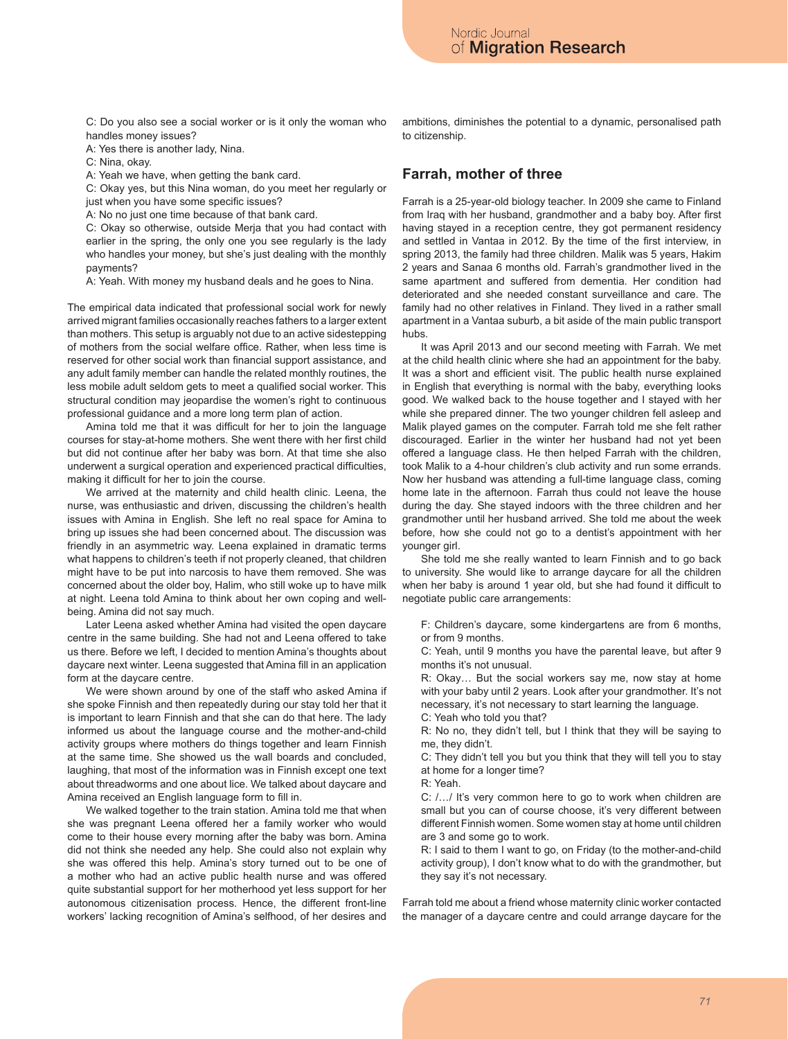C: Do you also see a social worker or is it only the woman who handles money issues?

A: Yes there is another lady, Nina.

C: Nina, okay.

A: Yeah we have, when getting the bank card.

C: Okay yes, but this Nina woman, do you meet her regularly or just when you have some specific issues?

A: No no just one time because of that bank card.

C: Okay so otherwise, outside Merja that you had contact with earlier in the spring, the only one you see regularly is the lady who handles your money, but she's just dealing with the monthly payments?

A: Yeah. With money my husband deals and he goes to Nina.

The empirical data indicated that professional social work for newly arrived migrant families occasionally reaches fathers to a larger extent than mothers. This setup is arguably not due to an active sidestepping of mothers from the social welfare office. Rather, when less time is reserved for other social work than financial support assistance, and any adult family member can handle the related monthly routines, the less mobile adult seldom gets to meet a qualified social worker. This structural condition may jeopardise the women's right to continuous professional guidance and a more long term plan of action.

Amina told me that it was difficult for her to join the language courses for stay-at-home mothers. She went there with her first child but did not continue after her baby was born. At that time she also underwent a surgical operation and experienced practical difficulties, making it difficult for her to join the course.

We arrived at the maternity and child health clinic. Leena, the nurse, was enthusiastic and driven, discussing the children's health issues with Amina in English. She left no real space for Amina to bring up issues she had been concerned about. The discussion was friendly in an asymmetric way. Leena explained in dramatic terms what happens to children's teeth if not properly cleaned, that children might have to be put into narcosis to have them removed. She was concerned about the older boy, Halim, who still woke up to have milk at night. Leena told Amina to think about her own coping and wellbeing. Amina did not say much.

Later Leena asked whether Amina had visited the open daycare centre in the same building. She had not and Leena offered to take us there. Before we left, I decided to mention Amina's thoughts about daycare next winter. Leena suggested that Amina fill in an application form at the daycare centre.

We were shown around by one of the staff who asked Amina if she spoke Finnish and then repeatedly during our stay told her that it is important to learn Finnish and that she can do that here. The lady informed us about the language course and the mother-and-child activity groups where mothers do things together and learn Finnish at the same time. She showed us the wall boards and concluded, laughing, that most of the information was in Finnish except one text about threadworms and one about lice. We talked about daycare and Amina received an English language form to fill in.

We walked together to the train station. Amina told me that when she was pregnant Leena offered her a family worker who would come to their house every morning after the baby was born. Amina did not think she needed any help. She could also not explain why she was offered this help. Amina's story turned out to be one of a mother who had an active public health nurse and was offered quite substantial support for her motherhood yet less support for her autonomous citizenisation process. Hence, the different front-line workers' lacking recognition of Amina's selfhood, of her desires and

ambitions, diminishes the potential to a dynamic, personalised path to citizenship.

#### **Farrah, mother of three**

Farrah is a 25-year-old biology teacher. In 2009 she came to Finland from Iraq with her husband, grandmother and a baby boy. After first having stayed in a reception centre, they got permanent residency and settled in Vantaa in 2012. By the time of the first interview, in spring 2013, the family had three children. Malik was 5 years, Hakim 2 years and Sanaa 6 months old. Farrah's grandmother lived in the same apartment and suffered from dementia. Her condition had deteriorated and she needed constant surveillance and care. The family had no other relatives in Finland. They lived in a rather small apartment in a Vantaa suburb, a bit aside of the main public transport hubs.

It was April 2013 and our second meeting with Farrah. We met at the child health clinic where she had an appointment for the baby. It was a short and efficient visit. The public health nurse explained in English that everything is normal with the baby, everything looks good. We walked back to the house together and I stayed with her while she prepared dinner. The two younger children fell asleep and Malik played games on the computer. Farrah told me she felt rather discouraged. Earlier in the winter her husband had not yet been offered a language class. He then helped Farrah with the children, took Malik to a 4-hour children's club activity and run some errands. Now her husband was attending a full-time language class, coming home late in the afternoon. Farrah thus could not leave the house during the day. She stayed indoors with the three children and her grandmother until her husband arrived. She told me about the week before, how she could not go to a dentist's appointment with her younger girl.

She told me she really wanted to learn Finnish and to go back to university. She would like to arrange daycare for all the children when her baby is around 1 year old, but she had found it difficult to negotiate public care arrangements:

F: Children's daycare, some kindergartens are from 6 months, or from 9 months.

C: Yeah, until 9 months you have the parental leave, but after 9 months it's not unusual.

R: Okay… But the social workers say me, now stay at home with your baby until 2 years. Look after your grandmother. It's not necessary, it's not necessary to start learning the language.

C: Yeah who told you that?

R: No no, they didn't tell, but I think that they will be saying to me, they didn't.

C: They didn't tell you but you think that they will tell you to stay at home for a longer time?

R: Yeah.

C: /…/ It's very common here to go to work when children are small but you can of course choose, it's very different between different Finnish women. Some women stay at home until children are 3 and some go to work.

R: I said to them I want to go, on Friday (to the mother-and-child activity group), I don't know what to do with the grandmother, but they say it's not necessary.

Farrah told me about a friend whose maternity clinic worker contacted the manager of a daycare centre and could arrange daycare for the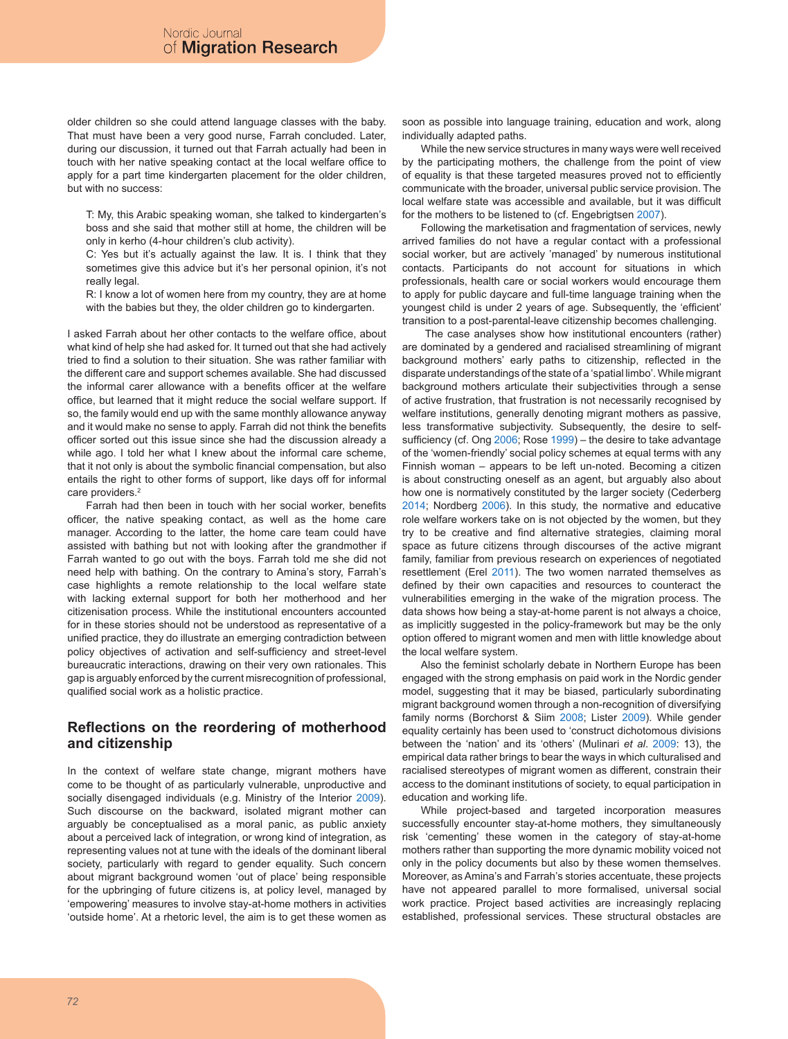older children so she could attend language classes with the baby. That must have been a very good nurse, Farrah concluded. Later, during our discussion, it turned out that Farrah actually had been in touch with her native speaking contact at the local welfare office to apply for a part time kindergarten placement for the older children, but with no success:

T: My, this Arabic speaking woman, she talked to kindergarten's boss and she said that mother still at home, the children will be only in kerho (4-hour children's club activity).

C: Yes but it's actually against the law. It is. I think that they sometimes give this advice but it's her personal opinion, it's not really legal.

R: I know a lot of women here from my country, they are at home with the babies but they, the older children go to kindergarten.

I asked Farrah about her other contacts to the welfare office, about what kind of help she had asked for. It turned out that she had actively tried to find a solution to their situation. She was rather familiar with the different care and support schemes available. She had discussed the informal carer allowance with a benefits officer at the welfare office, but learned that it might reduce the social welfare support. If so, the family would end up with the same monthly allowance anyway and it would make no sense to apply. Farrah did not think the benefits officer sorted out this issue since she had the discussion already a while ago. I told her what I knew about the informal care scheme, that it not only is about the symbolic financial compensation, but also entails the right to other forms of support, like days off for informal care providers.<sup>2</sup>

Farrah had then been in touch with her social worker, benefits officer, the native speaking contact, as well as the home care manager. According to the latter, the home care team could have assisted with bathing but not with looking after the grandmother if Farrah wanted to go out with the boys. Farrah told me she did not need help with bathing. On the contrary to Amina's story, Farrah's case highlights a remote relationship to the local welfare state with lacking external support for both her motherhood and her citizenisation process. While the institutional encounters accounted for in these stories should not be understood as representative of a unified practice, they do illustrate an emerging contradiction between policy objectives of activation and self-sufficiency and street-level bureaucratic interactions, drawing on their very own rationales. This gap is arguably enforced by the current misrecognition of professional, qualified social work as a holistic practice.

#### **Reflections on the reordering of motherhood and citizenship**

In the context of welfare state change, migrant mothers have come to be thought of as particularly vulnerable, unproductive and socially disengaged individuals (e.g. Ministry of the Interior 2009). Such discourse on the backward, isolated migrant mother can arguably be conceptualised as a moral panic, as public anxiety about a perceived lack of integration, or wrong kind of integration, as representing values not at tune with the ideals of the dominant liberal society, particularly with regard to gender equality. Such concern about migrant background women 'out of place' being responsible for the upbringing of future citizens is, at policy level, managed by 'empowering' measures to involve stay-at-home mothers in activities 'outside home'. At a rhetoric level, the aim is to get these women as soon as possible into language training, education and work, along individually adapted paths.

While the new service structures in many ways were well received by the participating mothers, the challenge from the point of view of equality is that these targeted measures proved not to efficiently communicate with the broader, universal public service provision. The local welfare state was accessible and available, but it was difficult for the mothers to be listened to (cf. Engebrigtsen 2007).

Following the marketisation and fragmentation of services, newly arrived families do not have a regular contact with a professional social worker, but are actively 'managed' by numerous institutional contacts. Participants do not account for situations in which professionals, health care or social workers would encourage them to apply for public daycare and full-time language training when the youngest child is under 2 years of age. Subsequently, the 'efficient' transition to a post-parental-leave citizenship becomes challenging.

 The case analyses show how institutional encounters (rather) are dominated by a gendered and racialised streamlining of migrant background mothers' early paths to citizenship, reflected in the disparate understandings of the state of a 'spatial limbo'. While migrant background mothers articulate their subjectivities through a sense of active frustration, that frustration is not necessarily recognised by welfare institutions, generally denoting migrant mothers as passive, less transformative subjectivity. Subsequently, the desire to selfsufficiency (cf. Ong 2006; Rose 1999) – the desire to take advantage of the 'women-friendly' social policy schemes at equal terms with any Finnish woman – appears to be left un-noted. Becoming a citizen is about constructing oneself as an agent, but arguably also about how one is normatively constituted by the larger society (Cederberg 2014; Nordberg 2006). In this study, the normative and educative role welfare workers take on is not objected by the women, but they try to be creative and find alternative strategies, claiming moral space as future citizens through discourses of the active migrant family, familiar from previous research on experiences of negotiated resettlement (Erel 2011). The two women narrated themselves as defined by their own capacities and resources to counteract the vulnerabilities emerging in the wake of the migration process. The data shows how being a stay-at-home parent is not always a choice, as implicitly suggested in the policy-framework but may be the only option offered to migrant women and men with little knowledge about the local welfare system.

Also the feminist scholarly debate in Northern Europe has been engaged with the strong emphasis on paid work in the Nordic gender model, suggesting that it may be biased, particularly subordinating migrant background women through a non-recognition of diversifying family norms (Borchorst & Siim 2008; Lister 2009). While gender equality certainly has been used to 'construct dichotomous divisions between the 'nation' and its 'others' (Mulinari *et al*. 2009: 13), the empirical data rather brings to bear the ways in which culturalised and racialised stereotypes of migrant women as different, constrain their access to the dominant institutions of society, to equal participation in education and working life.

While project-based and targeted incorporation measures successfully encounter stay-at-home mothers, they simultaneously risk 'cementing' these women in the category of stay-at-home mothers rather than supporting the more dynamic mobility voiced not only in the policy documents but also by these women themselves. Moreover, as Amina's and Farrah's stories accentuate, these projects have not appeared parallel to more formalised, universal social work practice. Project based activities are increasingly replacing established, professional services. These structural obstacles are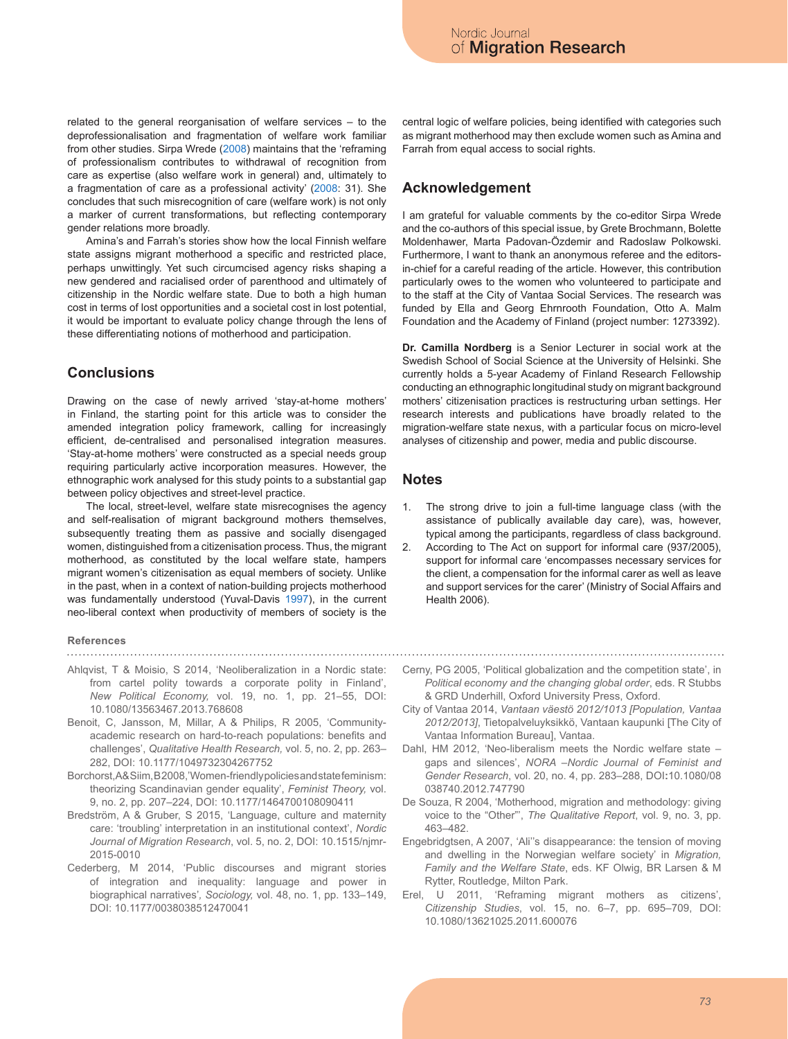related to the general reorganisation of welfare services – to the deprofessionalisation and fragmentation of welfare work familiar from other studies. Sirpa Wrede (2008) maintains that the 'reframing of professionalism contributes to withdrawal of recognition from care as expertise (also welfare work in general) and, ultimately to a fragmentation of care as a professional activity' (2008: 31). She concludes that such misrecognition of care (welfare work) is not only a marker of current transformations, but reflecting contemporary gender relations more broadly.

Amina's and Farrah's stories show how the local Finnish welfare state assigns migrant motherhood a specific and restricted place, perhaps unwittingly. Yet such circumcised agency risks shaping a new gendered and racialised order of parenthood and ultimately of citizenship in the Nordic welfare state. Due to both a high human cost in terms of lost opportunities and a societal cost in lost potential, it would be important to evaluate policy change through the lens of these differentiating notions of motherhood and participation.

### **Conclusions**

Drawing on the case of newly arrived 'stay-at-home mothers' in Finland, the starting point for this article was to consider the amended integration policy framework, calling for increasingly efficient, de-centralised and personalised integration measures. 'Stay-at-home mothers' were constructed as a special needs group requiring particularly active incorporation measures. However, the ethnographic work analysed for this study points to a substantial gap between policy objectives and street-level practice.

The local, street-level, welfare state misrecognises the agency and self-realisation of migrant background mothers themselves, subsequently treating them as passive and socially disengaged women, distinguished from a citizenisation process. Thus, the migrant motherhood, as constituted by the local welfare state, hampers migrant women's citizenisation as equal members of society. Unlike in the past, when in a context of nation-building projects motherhood was fundamentally understood (Yuval-Davis 1997), in the current neo-liberal context when productivity of members of society is the

#### **References**

- Ahlqvist, T & Moisio, S 2014, 'Neoliberalization in a Nordic state: from cartel polity towards a corporate polity in Finland', *New Political Economy,* vol. 19, no. 1, pp. 21–55, DOI: 10.1080/13563467.2013.768608
- Benoit, C, Jansson, M, Millar, A & Philips, R 2005, 'Communityacademic research on hard-to-reach populations: benefits and challenges', *Qualitative Health Research,* vol. 5, no. 2, pp. 263– 282, DOI: 10.1177/1049732304267752
- Borchorst, A& Siim, B2008, 'Women-friendly policies and state feminism: theorizing Scandinavian gender equality', *Feminist Theory,* vol. 9, no. 2, pp. 207–224, DOI: 10.1177/1464700108090411
- Bredström, A & Gruber, S 2015, 'Language, culture and maternity care: 'troubling' interpretation in an institutional context', *Nordic Journal of Migration Research*, vol. 5, no. 2, DOI: 10.1515/njmr-2015-0010
- Cederberg, M 2014, 'Public discourses and migrant stories of integration and inequality: language and power in biographical narratives'*, Sociology,* vol. 48, no. 1, pp. 133–149, DOI: 10.1177/0038038512470041

central logic of welfare policies, being identified with categories such as migrant motherhood may then exclude women such as Amina and Farrah from equal access to social rights.

### **Acknowledgement**

I am grateful for valuable comments by the co-editor Sirpa Wrede and the co-authors of this special issue, by Grete Brochmann, Bolette Moldenhawer, Marta Padovan-Özdemir and Radoslaw Polkowski. Furthermore, I want to thank an anonymous referee and the editorsin-chief for a careful reading of the article. However, this contribution particularly owes to the women who volunteered to participate and to the staff at the City of Vantaa Social Services. The research was funded by Ella and Georg Ehrnrooth Foundation, Otto A. Malm Foundation and the Academy of Finland (project number: 1273392).

**Dr. Camilla Nordberg** is a Senior Lecturer in social work at the Swedish School of Social Science at the University of Helsinki. She currently holds a 5-year Academy of Finland Research Fellowship conducting an ethnographic longitudinal study on migrant background mothers' citizenisation practices is restructuring urban settings. Her research interests and publications have broadly related to the migration-welfare state nexus, with a particular focus on micro-level analyses of citizenship and power, media and public discourse.

#### **Notes**

- 1. The strong drive to join a full-time language class (with the assistance of publically available day care), was, however, typical among the participants, regardless of class background.
- 2. According to The Act on support for informal care (937/2005), support for informal care 'encompasses necessary services for the client, a compensation for the informal carer as well as leave and support services for the carer' (Ministry of Social Affairs and Health 2006).
- Cerny, PG 2005, 'Political globalization and the competition state', in *Political economy and the changing global order*, eds. R Stubbs & GRD Underhill, Oxford University Press, Oxford.
- City of Vantaa 2014, *Vantaan väestö 2012/1013 [Population, Vantaa 2012/2013]*, Tietopalveluyksikkö, Vantaan kaupunki [The City of Vantaa Information Bureau], Vantaa.
- Dahl, HM 2012, 'Neo-liberalism meets the Nordic welfare state gaps and silences', *NORA –Nordic Journal of Feminist and Gender Research*, vol. 20, no. 4, pp. 283–288, DOI**:**10.1080/08 038740.2012.747790
- De Souza, R 2004, 'Motherhood, migration and methodology: giving voice to the "Other"', *The Qualitative Report*, vol. 9, no. 3, pp. 463–482.
- Engebridgtsen, A 2007, 'Ali''s disappearance: the tension of moving and dwelling in the Norwegian welfare society' in *Migration, Family and the Welfare State*, eds. KF Olwig, BR Larsen & M Rytter, Routledge, Milton Park.
- Erel, U 2011, 'Reframing migrant mothers as citizens', *Citizenship Studies*, vol. 15, no. 6–7, pp. 695–709, DOI: 10.1080/13621025.2011.600076